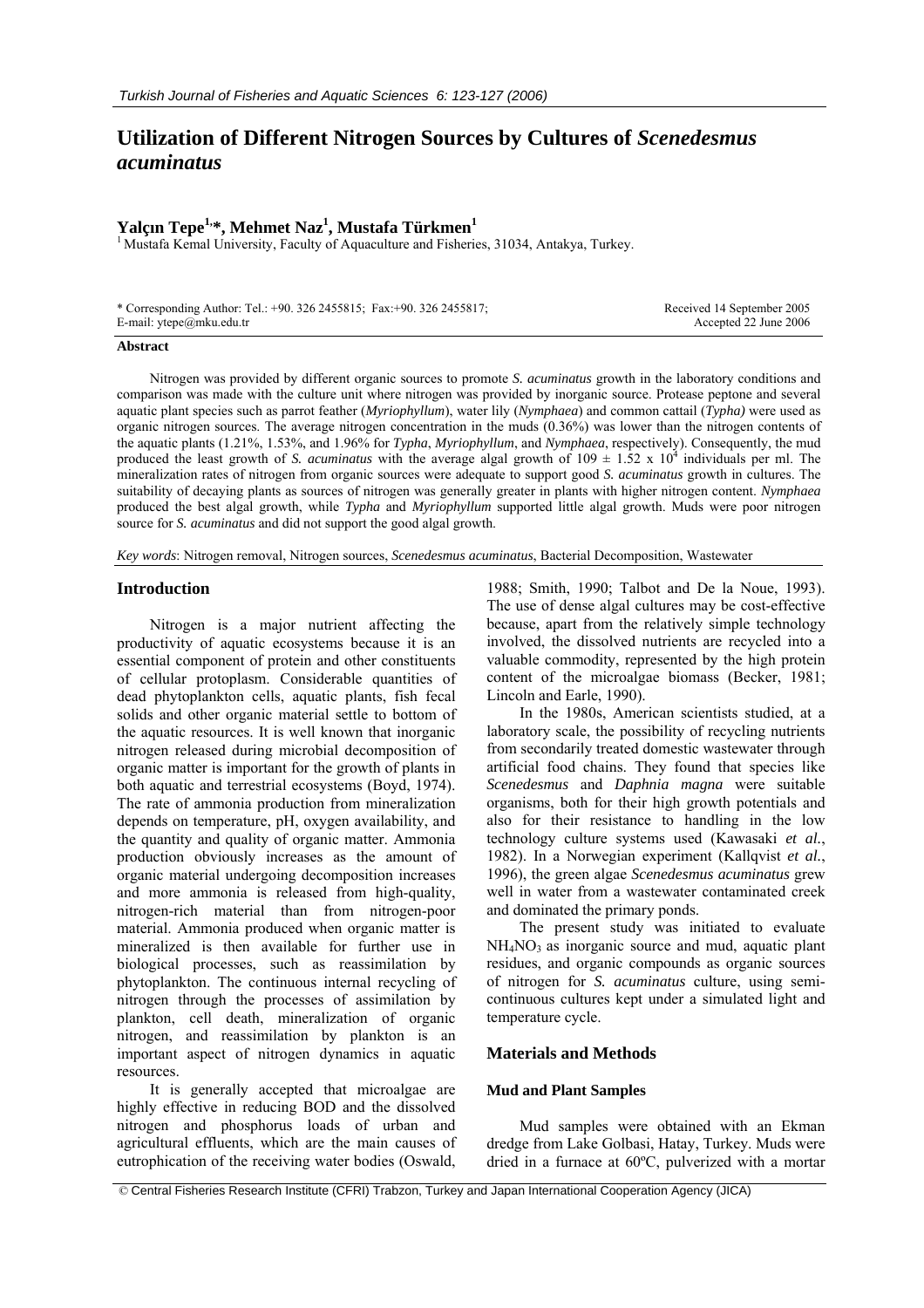# **Utilization of Different Nitrogen Sources by Cultures of** *Scenedesmus acuminatus*

## **Yalçın Tepe1,\*, Mehmet Naz1 , Mustafa Türkmen<sup>1</sup>**

<sup>1</sup> Mustafa Kemal University, Faculty of Aquaculture and Fisheries, 31034, Antakya, Turkey.

| * Corresponding Author: Tel.: +90. 326 2455815; Fax: +90. 326 2455817; | Received 14 September 2005 |
|------------------------------------------------------------------------|----------------------------|
| E-mail: $y \neq a$ mku.edu.tr                                          | Accepted 22 June 2006      |

#### **Abstract**

Nitrogen was provided by different organic sources to promote *S. acuminatus* growth in the laboratory conditions and comparison was made with the culture unit where nitrogen was provided by inorganic source. Protease peptone and several aquatic plant species such as parrot feather (*Myriophyllum*), water lily (*Nymphaea*) and common cattail (*Typha)* were used as organic nitrogen sources. The average nitrogen concentration in the muds (0.36%) was lower than the nitrogen contents of the aquatic plants (1.21%, 1.53%, and 1.96% for *Typha*, *Myriophyllum*, and *Nymphaea*, respectively). Consequently, the mud produced the least growth of *S. acuminatus* with the average algal growth of  $109 \pm 1.52 \times 10^4$  individuals per ml. The mineralization rates of nitrogen from organic sources were adequate to support good *S. acuminatus* growth in cultures. The suitability of decaying plants as sources of nitrogen was generally greater in plants with higher nitrogen content. *Nymphaea* produced the best algal growth, while *Typha* and *Myriophyllum* supported little algal growth. Muds were poor nitrogen source for *S. acuminatus* and did not support the good algal growth.

*Key words*: Nitrogen removal, Nitrogen sources, *Scenedesmus acuminatus*, Bacterial Decomposition, Wastewater

## **Introduction**

Nitrogen is a major nutrient affecting the productivity of aquatic ecosystems because it is an essential component of protein and other constituents of cellular protoplasm. Considerable quantities of dead phytoplankton cells, aquatic plants, fish fecal solids and other organic material settle to bottom of the aquatic resources. It is well known that inorganic nitrogen released during microbial decomposition of organic matter is important for the growth of plants in both aquatic and terrestrial ecosystems (Boyd, 1974). The rate of ammonia production from mineralization depends on temperature, pH, oxygen availability, and the quantity and quality of organic matter. Ammonia production obviously increases as the amount of organic material undergoing decomposition increases and more ammonia is released from high-quality, nitrogen-rich material than from nitrogen-poor material. Ammonia produced when organic matter is mineralized is then available for further use in biological processes, such as reassimilation by phytoplankton. The continuous internal recycling of nitrogen through the processes of assimilation by plankton, cell death, mineralization of organic nitrogen, and reassimilation by plankton is an important aspect of nitrogen dynamics in aquatic resources.

It is generally accepted that microalgae are highly effective in reducing BOD and the dissolved nitrogen and phosphorus loads of urban and agricultural effluents, which are the main causes of eutrophication of the receiving water bodies (Oswald,

1988; Smith, 1990; Talbot and De la Noue, 1993). The use of dense algal cultures may be cost-effective because, apart from the relatively simple technology involved, the dissolved nutrients are recycled into a valuable commodity, represented by the high protein content of the microalgae biomass (Becker, 1981; Lincoln and Earle, 1990).

In the 1980s, American scientists studied, at a laboratory scale, the possibility of recycling nutrients from secondarily treated domestic wastewater through artificial food chains. They found that species like *Scenedesmus* and *Daphnia magna* were suitable organisms, both for their high growth potentials and also for their resistance to handling in the low technology culture systems used (Kawasaki *et al.*, 1982). In a Norwegian experiment (Kallqvist *et al.*, 1996), the green algae *Scenedesmus acuminatus* grew well in water from a wastewater contaminated creek and dominated the primary ponds.

The present study was initiated to evaluate  $NH<sub>4</sub>NO<sub>3</sub>$  as inorganic source and mud, aquatic plant residues, and organic compounds as organic sources of nitrogen for *S. acuminatus* culture, using semicontinuous cultures kept under a simulated light and temperature cycle.

#### **Materials and Methods**

### **Mud and Plant Samples**

Mud samples were obtained with an Ekman dredge from Lake Golbasi, Hatay, Turkey. Muds were dried in a furnace at 60ºC, pulverized with a mortar

© Central Fisheries Research Institute (CFRI) Trabzon, Turkey and Japan International Cooperation Agency (JICA)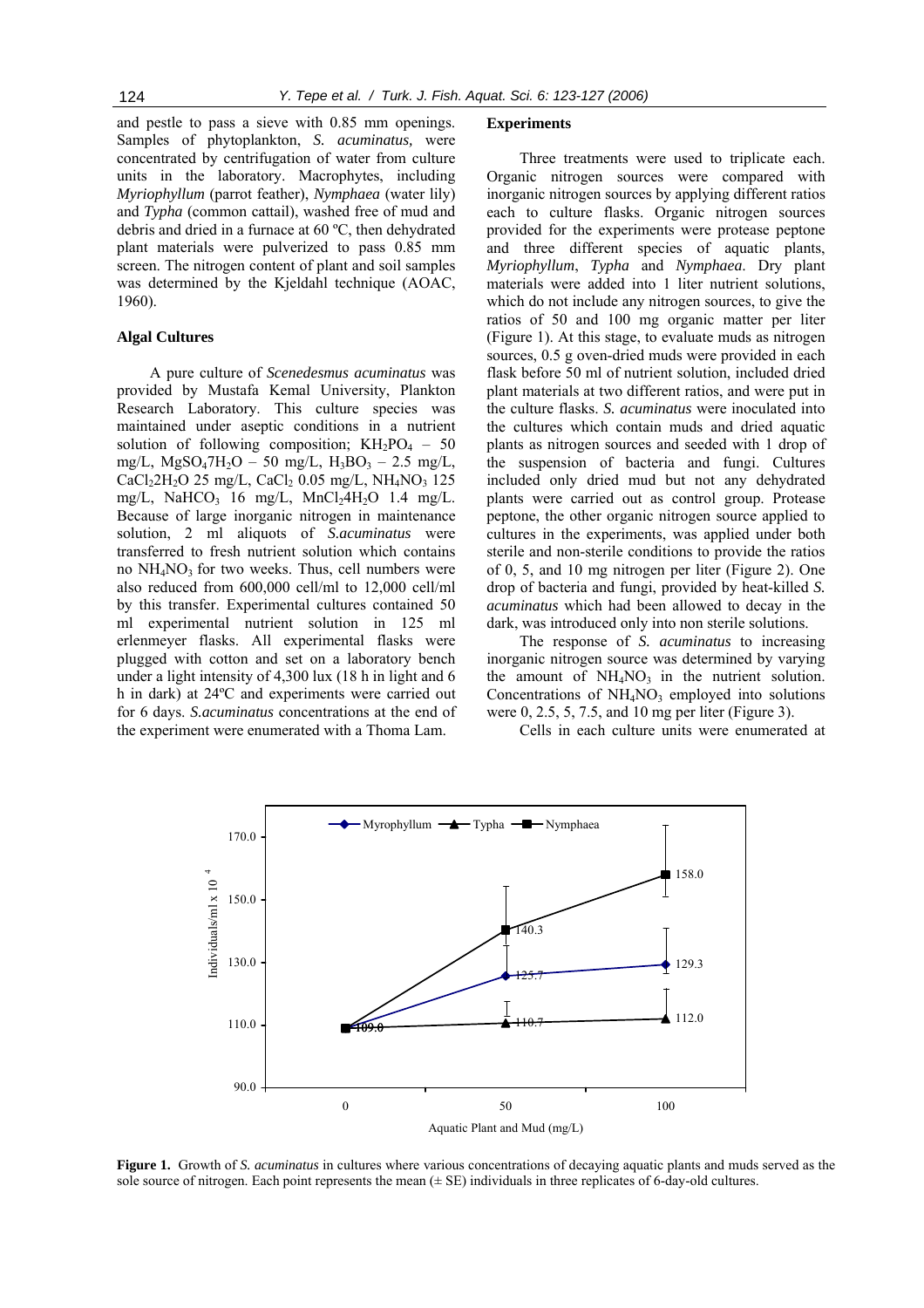and pestle to pass a sieve with 0.85 mm openings. Samples of phytoplankton, *S. acuminatus,* were concentrated by centrifugation of water from culture units in the laboratory. Macrophytes, including *Myriophyllum* (parrot feather), *Nymphaea* (water lily) and *Typha* (common cattail), washed free of mud and debris and dried in a furnace at 60 ºC, then dehydrated plant materials were pulverized to pass 0.85 mm screen. The nitrogen content of plant and soil samples was determined by the Kjeldahl technique (AOAC, 1960).

## **Algal Cultures**

A pure culture of *Scenedesmus acuminatus* was provided by Mustafa Kemal University, Plankton Research Laboratory. This culture species was maintained under aseptic conditions in a nutrient solution of following composition;  $KH_2PO_4 - 50$ mg/L,  $MgSO_47H_2O - 50$  mg/L,  $H_3BO_3 - 2.5$  mg/L, CaCl<sub>2</sub>2H<sub>2</sub>O 25 mg/L, CaCl<sub>2</sub> 0.05 mg/L, NH<sub>4</sub>NO<sub>3</sub> 125 mg/L, NaHCO<sub>3</sub> 16 mg/L, MnCl<sub>2</sub>4H<sub>2</sub>O 1.4 mg/L. Because of large inorganic nitrogen in maintenance solution, 2 ml aliquots of *S.acuminatus* were transferred to fresh nutrient solution which contains no  $NH<sub>4</sub>NO<sub>3</sub>$  for two weeks. Thus, cell numbers were also reduced from 600,000 cell/ml to 12,000 cell/ml by this transfer. Experimental cultures contained 50 ml experimental nutrient solution in 125 ml erlenmeyer flasks. All experimental flasks were plugged with cotton and set on a laboratory bench under a light intensity of 4,300 lux (18 h in light and 6 h in dark) at 24ºC and experiments were carried out for 6 days. *S.acuminatus* concentrations at the end of the experiment were enumerated with a Thoma Lam.

#### **Experiments**

Three treatments were used to triplicate each. Organic nitrogen sources were compared with inorganic nitrogen sources by applying different ratios each to culture flasks. Organic nitrogen sources provided for the experiments were protease peptone and three different species of aquatic plants, *Myriophyllum*, *Typha* and *Nymphaea*. Dry plant materials were added into 1 liter nutrient solutions, which do not include any nitrogen sources, to give the ratios of 50 and 100 mg organic matter per liter (Figure 1). At this stage, to evaluate muds as nitrogen sources, 0.5 g oven-dried muds were provided in each flask before 50 ml of nutrient solution, included dried plant materials at two different ratios, and were put in the culture flasks. *S. acuminatus* were inoculated into the cultures which contain muds and dried aquatic plants as nitrogen sources and seeded with 1 drop of the suspension of bacteria and fungi. Cultures included only dried mud but not any dehydrated plants were carried out as control group. Protease peptone, the other organic nitrogen source applied to cultures in the experiments, was applied under both sterile and non-sterile conditions to provide the ratios of 0, 5, and 10 mg nitrogen per liter (Figure 2). One drop of bacteria and fungi, provided by heat-killed *S. acuminatus* which had been allowed to decay in the dark, was introduced only into non sterile solutions.

The response of *S. acuminatus* to increasing inorganic nitrogen source was determined by varying the amount of  $NH<sub>4</sub>NO<sub>3</sub>$  in the nutrient solution. Concentrations of  $NH<sub>4</sub>NO<sub>3</sub>$  employed into solutions were 0, 2.5, 5, 7.5, and 10 mg per liter (Figure 3).

Cells in each culture units were enumerated at



**Figure 1.** Growth of *S. acuminatus* in cultures where various concentrations of decaying aquatic plants and muds served as the sole source of nitrogen. Each point represents the mean  $(\pm SE)$  individuals in three replicates of 6-day-old cultures.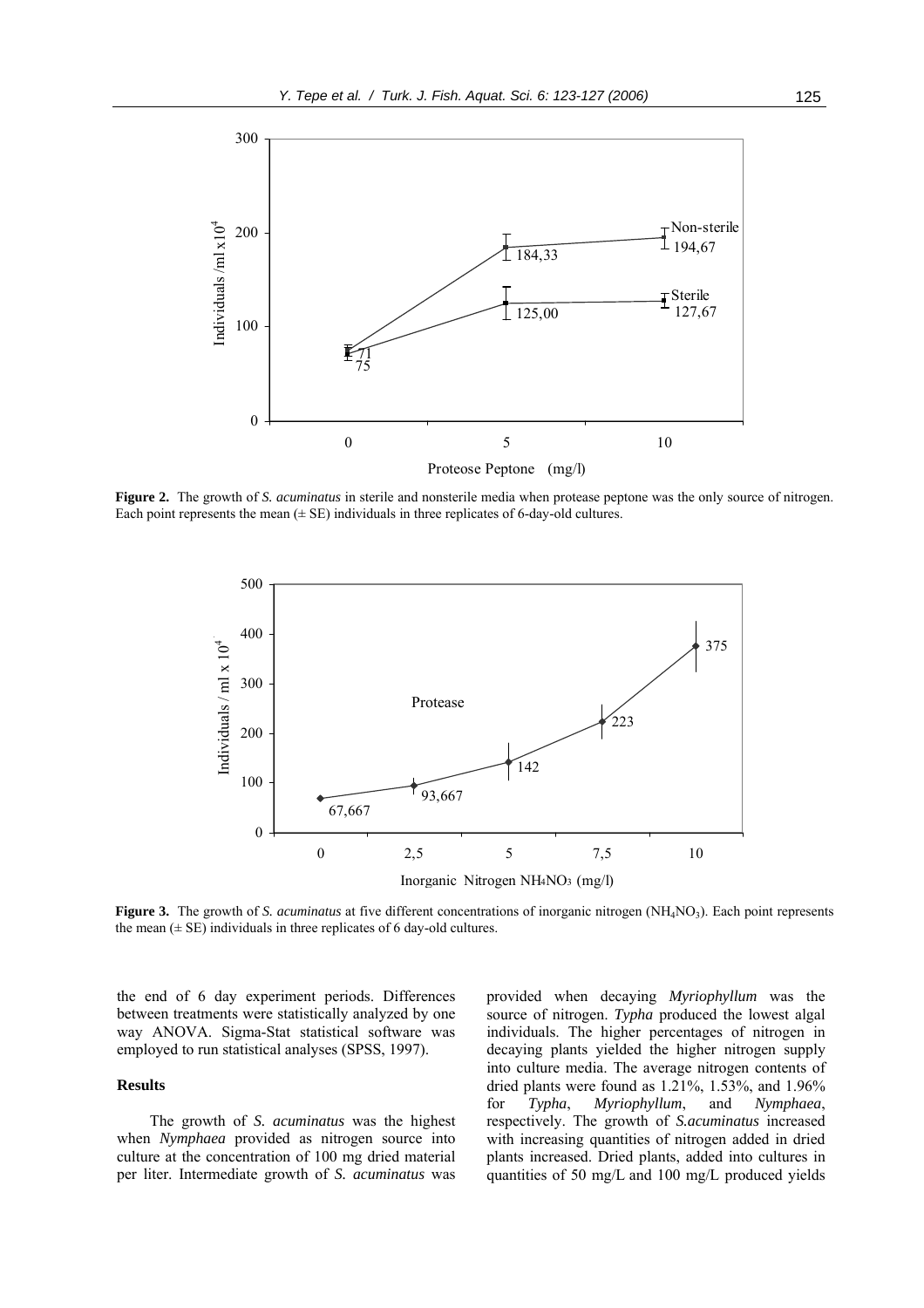

**Figure 2.** The growth of *S. acuminatus* in sterile and nonsterile media when protease peptone was the only source of nitrogen. Each point represents the mean  $(\pm S)$  individuals in three replicates of 6-day-old cultures.



**Figure 3.** The growth of *S. acuminatus* at five different concentrations of inorganic nitrogen (NH<sub>4</sub>NO<sub>3</sub>). Each point represents the mean  $(\pm \text{ SE})$  individuals in three replicates of 6 day-old cultures.

the end of 6 day experiment periods. Differences between treatments were statistically analyzed by one way ANOVA. Sigma-Stat statistical software was employed to run statistical analyses (SPSS, 1997).

#### **Results**

The growth of *S. acuminatus* was the highest when *Nymphaea* provided as nitrogen source into culture at the concentration of 100 mg dried material per liter. Intermediate growth of *S. acuminatus* was

provided when decaying *Myriophyllum* was the source of nitrogen. *Typha* produced the lowest algal individuals. The higher percentages of nitrogen in decaying plants yielded the higher nitrogen supply into culture media. The average nitrogen contents of dried plants were found as 1.21%, 1.53%, and 1.96% for *Typha*, *Myriophyllum*, and *Nymphaea*, respectively. The growth of *S.acuminatus* increased with increasing quantities of nitrogen added in dried plants increased. Dried plants, added into cultures in quantities of 50 mg/L and 100 mg/L produced yields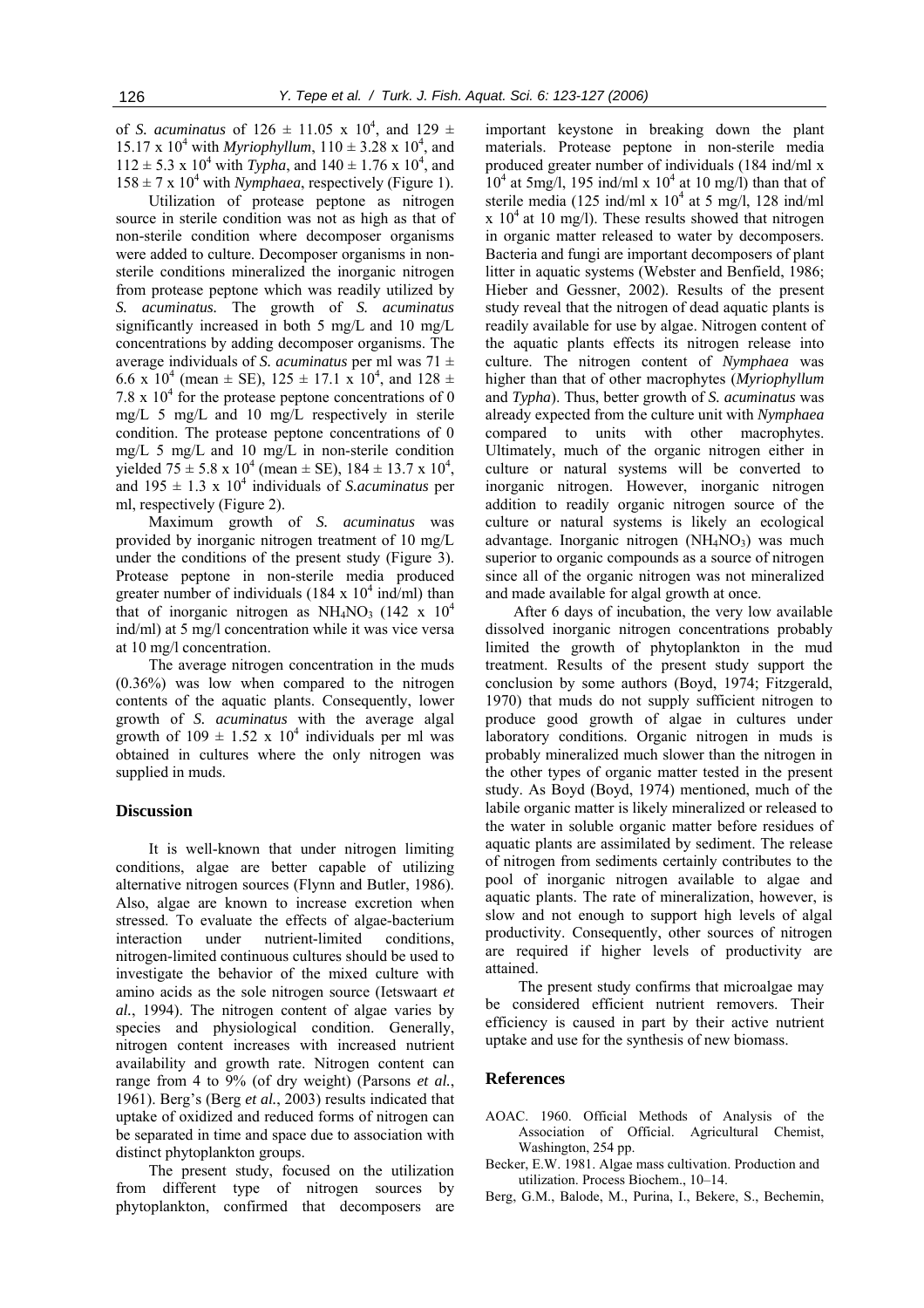of *S. acuminatus* of  $126 \pm 11.05 \times 10^4$ , and  $129 \pm 10^4$ 15.17 x  $10^4$  with *Myriophyllum*,  $110 \pm 3.28$  x  $10^4$ , and  $112 \pm 5.3 \times 10^4$  with *Typha*, and  $140 \pm 1.76 \times 10^4$ , and  $158 \pm 7 \times 10^4$  with *Nymphaea*, respectively (Figure 1).

Utilization of protease peptone as nitrogen source in sterile condition was not as high as that of non-sterile condition where decomposer organisms were added to culture. Decomposer organisms in nonsterile conditions mineralized the inorganic nitrogen from protease peptone which was readily utilized by *S. acuminatus.* The growth of *S. acuminatus* significantly increased in both 5 mg/L and 10 mg/L concentrations by adding decomposer organisms. The average individuals of *S. acuminatus* per ml was 71 ± 6.6 x 10<sup>4</sup> (mean  $\pm$  SE), 125  $\pm$  17.1 x 10<sup>4</sup>, and 128  $\pm$ 7.8 x  $10<sup>4</sup>$  for the protease peptone concentrations of 0 mg/L 5 mg/L and 10 mg/L respectively in sterile condition. The protease peptone concentrations of 0 mg/L 5 mg/L and 10 mg/L in non-sterile condition yielded  $75 \pm 5.8 \times 10^4$  (mean  $\pm$  SE),  $184 \pm 13.7 \times 10^4$ , and  $195 \pm 1.3 \times 10^4$  individuals of *S.acuminatus* per ml, respectively (Figure 2).

Maximum growth of *S. acuminatus* was provided by inorganic nitrogen treatment of 10 mg/L under the conditions of the present study (Figure 3). Protease peptone in non-sterile media produced greater number of individuals  $(184 \times 10^4 \text{ ind/ml})$  than that of inorganic nitrogen as  $NH<sub>4</sub>NO<sub>3</sub>$  (142 x 10<sup>4</sup>) ind/ml) at 5 mg/l concentration while it was vice versa at 10 mg/l concentration.

The average nitrogen concentration in the muds (0.36%) was low when compared to the nitrogen contents of the aquatic plants. Consequently, lower growth of *S. acuminatus* with the average algal growth of  $109 \pm 1.52 \times 10^4$  individuals per ml was obtained in cultures where the only nitrogen was supplied in muds.

#### **Discussion**

It is well-known that under nitrogen limiting conditions, algae are better capable of utilizing alternative nitrogen sources (Flynn and Butler, 1986). Also, algae are known to increase excretion when stressed. To evaluate the effects of algae-bacterium interaction under nutrient-limited conditions, nitrogen-limited continuous cultures should be used to investigate the behavior of the mixed culture with amino acids as the sole nitrogen source (Ietswaart *et al.*, 1994). The nitrogen content of algae varies by species and physiological condition. Generally, nitrogen content increases with increased nutrient availability and growth rate. Nitrogen content can range from 4 to 9% (of dry weight) (Parsons *et al.*, 1961). Berg's (Berg *et al.*, 2003) results indicated that uptake of oxidized and reduced forms of nitrogen can be separated in time and space due to association with distinct phytoplankton groups.

The present study, focused on the utilization from different type of nitrogen sources by phytoplankton, confirmed that decomposers are

important keystone in breaking down the plant materials. Protease peptone in non-sterile media produced greater number of individuals (184 ind/ml x  $10<sup>4</sup>$  at 5mg/l, 195 ind/ml x  $10<sup>4</sup>$  at 10 mg/l) than that of sterile media (125 ind/ml x  $10^4$  at 5 mg/l, 128 ind/ml  $x 10<sup>4</sup>$  at 10 mg/l). These results showed that nitrogen in organic matter released to water by decomposers. Bacteria and fungi are important decomposers of plant litter in aquatic systems (Webster and Benfield, 1986; Hieber and Gessner, 2002). Results of the present study reveal that the nitrogen of dead aquatic plants is readily available for use by algae. Nitrogen content of the aquatic plants effects its nitrogen release into culture. The nitrogen content of *Nymphaea* was higher than that of other macrophytes (*Myriophyllum* and *Typha*). Thus, better growth of *S. acuminatus* was already expected from the culture unit with *Nymphaea* compared to units with other macrophytes. Ultimately, much of the organic nitrogen either in culture or natural systems will be converted to inorganic nitrogen. However, inorganic nitrogen addition to readily organic nitrogen source of the culture or natural systems is likely an ecological advantage. Inorganic nitrogen  $(NH<sub>4</sub>NO<sub>3</sub>)$  was much superior to organic compounds as a source of nitrogen since all of the organic nitrogen was not mineralized and made available for algal growth at once.

After 6 days of incubation, the very low available dissolved inorganic nitrogen concentrations probably limited the growth of phytoplankton in the mud treatment. Results of the present study support the conclusion by some authors (Boyd, 1974; Fitzgerald, 1970) that muds do not supply sufficient nitrogen to produce good growth of algae in cultures under laboratory conditions. Organic nitrogen in muds is probably mineralized much slower than the nitrogen in the other types of organic matter tested in the present study. As Boyd (Boyd, 1974) mentioned, much of the labile organic matter is likely mineralized or released to the water in soluble organic matter before residues of aquatic plants are assimilated by sediment. The release of nitrogen from sediments certainly contributes to the pool of inorganic nitrogen available to algae and aquatic plants. The rate of mineralization, however, is slow and not enough to support high levels of algal productivity. Consequently, other sources of nitrogen are required if higher levels of productivity are attained.

The present study confirms that microalgae may be considered efficient nutrient removers. Their efficiency is caused in part by their active nutrient uptake and use for the synthesis of new biomass.

## **References**

- AOAC. 1960. Official Methods of Analysis of the Association of Official. Agricultural Chemist, Washington, 254 pp.
- Becker, E.W. 1981. Algae mass cultivation. Production and utilization. Process Biochem., 10–14.
- Berg, G.M., Balode, M., Purina, I., Bekere, S., Bechemin,